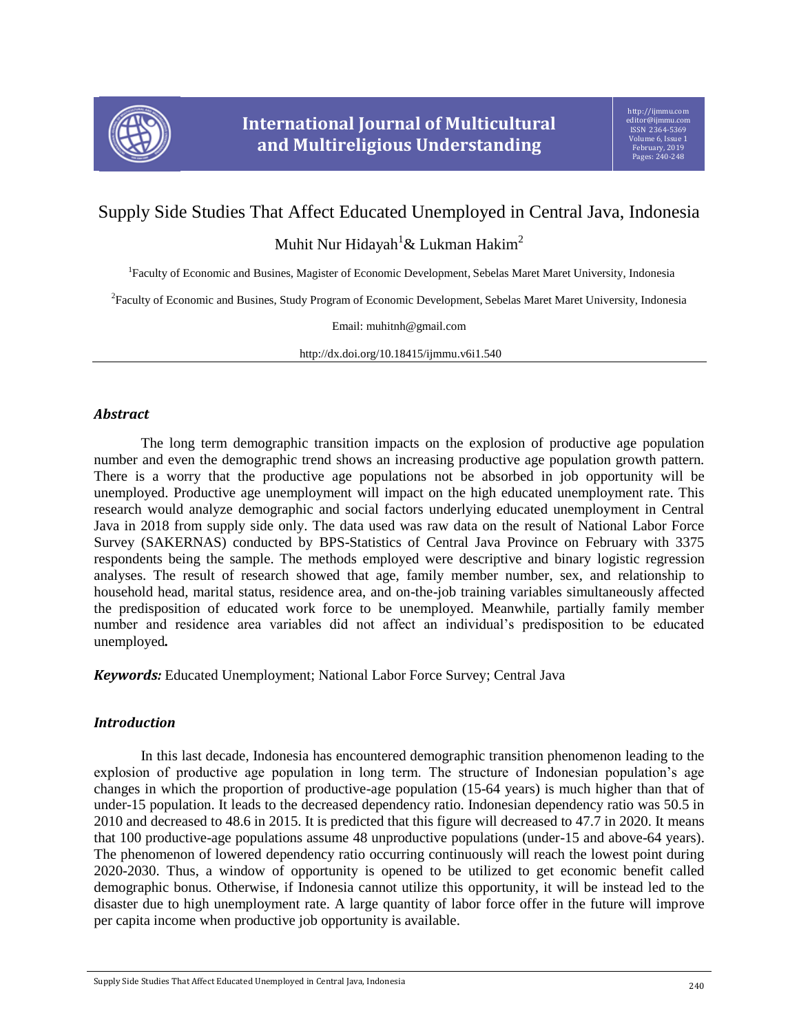

# Supply Side Studies That Affect Educated Unemployed in Central Java, Indonesia

Muhit Nur Hidayah<sup>1</sup>& Lukman Hakim<sup>2</sup>

<sup>1</sup>Faculty of Economic and Busines, Magister of Economic Development, Sebelas Maret Maret University, Indonesia

2 Faculty of Economic and Busines, Study Program of Economic Development, Sebelas Maret Maret University, Indonesia

Email: muhitnh@gmail.com

http://dx.doi.org/10.18415/ijmmu.v6i1.540

# *Abstract*

The long term demographic transition impacts on the explosion of productive age population number and even the demographic trend shows an increasing productive age population growth pattern. There is a worry that the productive age populations not be absorbed in job opportunity will be unemployed. Productive age unemployment will impact on the high educated unemployment rate. This research would analyze demographic and social factors underlying educated unemployment in Central Java in 2018 from supply side only. The data used was raw data on the result of National Labor Force Survey (SAKERNAS) conducted by BPS-Statistics of Central Java Province on February with 3375 respondents being the sample. The methods employed were descriptive and binary logistic regression analyses. The result of research showed that age, family member number, sex, and relationship to household head, marital status, residence area, and on-the-job training variables simultaneously affected the predisposition of educated work force to be unemployed. Meanwhile, partially family member number and residence area variables did not affect an individual's predisposition to be educated unemployed*.*

*Keywords:* Educated Unemployment; National Labor Force Survey; Central Java

# *Introduction*

In this last decade, Indonesia has encountered demographic transition phenomenon leading to the explosion of productive age population in long term. The structure of Indonesian population's age changes in which the proportion of productive-age population (15-64 years) is much higher than that of under-15 population. It leads to the decreased dependency ratio. Indonesian dependency ratio was 50.5 in 2010 and decreased to 48.6 in 2015. It is predicted that this figure will decreased to 47.7 in 2020. It means that 100 productive-age populations assume 48 unproductive populations (under-15 and above-64 years). The phenomenon of lowered dependency ratio occurring continuously will reach the lowest point during 2020-2030. Thus, a window of opportunity is opened to be utilized to get economic benefit called demographic bonus. Otherwise, if Indonesia cannot utilize this opportunity, it will be instead led to the disaster due to high unemployment rate. A large quantity of labor force offer in the future will improve per capita income when productive job opportunity is available.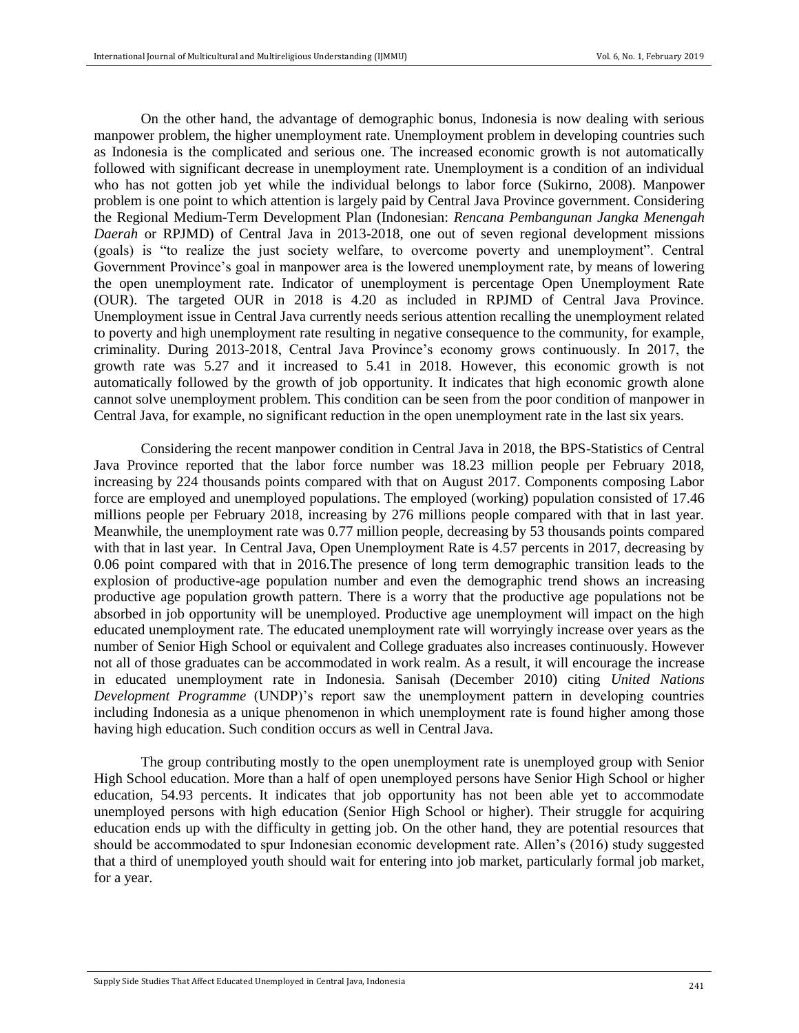On the other hand, the advantage of demographic bonus, Indonesia is now dealing with serious manpower problem, the higher unemployment rate. Unemployment problem in developing countries such as Indonesia is the complicated and serious one. The increased economic growth is not automatically followed with significant decrease in unemployment rate. Unemployment is a condition of an individual who has not gotten job yet while the individual belongs to labor force (Sukirno, 2008). Manpower problem is one point to which attention is largely paid by Central Java Province government. Considering the Regional Medium-Term Development Plan (Indonesian: *Rencana Pembangunan Jangka Menengah Daerah* or RPJMD) of Central Java in 2013-2018, one out of seven regional development missions (goals) is "to realize the just society welfare, to overcome poverty and unemployment". Central Government Province's goal in manpower area is the lowered unemployment rate, by means of lowering the open unemployment rate. Indicator of unemployment is percentage Open Unemployment Rate (OUR). The targeted OUR in 2018 is 4.20 as included in RPJMD of Central Java Province. Unemployment issue in Central Java currently needs serious attention recalling the unemployment related to poverty and high unemployment rate resulting in negative consequence to the community, for example, criminality. During 2013-2018, Central Java Province's economy grows continuously. In 2017, the growth rate was 5.27 and it increased to 5.41 in 2018. However, this economic growth is not automatically followed by the growth of job opportunity. It indicates that high economic growth alone cannot solve unemployment problem. This condition can be seen from the poor condition of manpower in Central Java, for example, no significant reduction in the open unemployment rate in the last six years.

Considering the recent manpower condition in Central Java in 2018, the BPS-Statistics of Central Java Province reported that the labor force number was 18.23 million people per February 2018, increasing by 224 thousands points compared with that on August 2017. Components composing Labor force are employed and unemployed populations. The employed (working) population consisted of 17.46 millions people per February 2018, increasing by 276 millions people compared with that in last year. Meanwhile, the unemployment rate was 0.77 million people, decreasing by 53 thousands points compared with that in last year. In Central Java, Open Unemployment Rate is 4.57 percents in 2017, decreasing by 0.06 point compared with that in 2016.The presence of long term demographic transition leads to the explosion of productive-age population number and even the demographic trend shows an increasing productive age population growth pattern. There is a worry that the productive age populations not be absorbed in job opportunity will be unemployed. Productive age unemployment will impact on the high educated unemployment rate. The educated unemployment rate will worryingly increase over years as the number of Senior High School or equivalent and College graduates also increases continuously. However not all of those graduates can be accommodated in work realm. As a result, it will encourage the increase in educated unemployment rate in Indonesia. Sanisah (December 2010) citing *United Nations Development Programme* (UNDP)'s report saw the unemployment pattern in developing countries including Indonesia as a unique phenomenon in which unemployment rate is found higher among those having high education. Such condition occurs as well in Central Java.

The group contributing mostly to the open unemployment rate is unemployed group with Senior High School education. More than a half of open unemployed persons have Senior High School or higher education, 54.93 percents. It indicates that job opportunity has not been able yet to accommodate unemployed persons with high education (Senior High School or higher). Their struggle for acquiring education ends up with the difficulty in getting job. On the other hand, they are potential resources that should be accommodated to spur Indonesian economic development rate. Allen's (2016) study suggested that a third of unemployed youth should wait for entering into job market, particularly formal job market, for a year.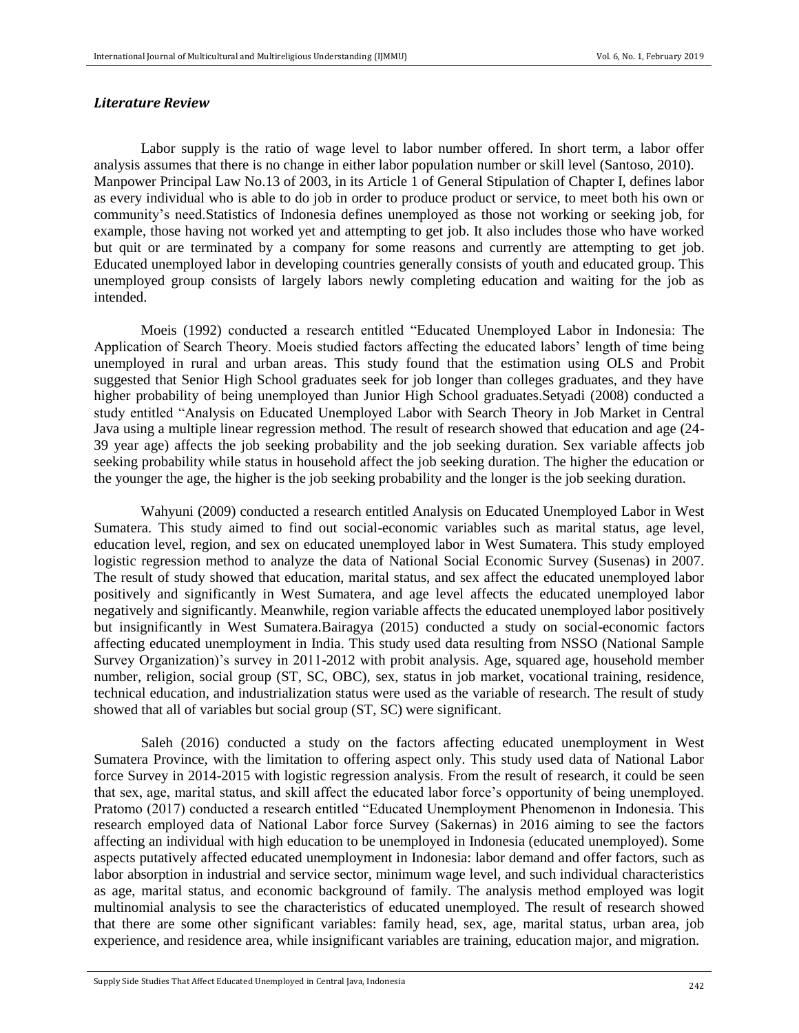#### *Literature Review*

Labor supply is the ratio of wage level to labor number offered. In short term, a labor offer analysis assumes that there is no change in either labor population number or skill level (Santoso, 2010). Manpower Principal Law No.13 of 2003, in its Article 1 of General Stipulation of Chapter I, defines labor as every individual who is able to do job in order to produce product or service, to meet both his own or community's need.Statistics of Indonesia defines unemployed as those not working or seeking job, for example, those having not worked yet and attempting to get job. It also includes those who have worked but quit or are terminated by a company for some reasons and currently are attempting to get job. Educated unemployed labor in developing countries generally consists of youth and educated group. This unemployed group consists of largely labors newly completing education and waiting for the job as intended.

Moeis (1992) conducted a research entitled "Educated Unemployed Labor in Indonesia: The Application of Search Theory. Moeis studied factors affecting the educated labors' length of time being unemployed in rural and urban areas. This study found that the estimation using OLS and Probit suggested that Senior High School graduates seek for job longer than colleges graduates, and they have higher probability of being unemployed than Junior High School graduates.Setyadi (2008) conducted a study entitled "Analysis on Educated Unemployed Labor with Search Theory in Job Market in Central Java using a multiple linear regression method. The result of research showed that education and age (24- 39 year age) affects the job seeking probability and the job seeking duration. Sex variable affects job seeking probability while status in household affect the job seeking duration. The higher the education or the younger the age, the higher is the job seeking probability and the longer is the job seeking duration.

Wahyuni (2009) conducted a research entitled Analysis on Educated Unemployed Labor in West Sumatera. This study aimed to find out social-economic variables such as marital status, age level, education level, region, and sex on educated unemployed labor in West Sumatera. This study employed logistic regression method to analyze the data of National Social Economic Survey (Susenas) in 2007. The result of study showed that education, marital status, and sex affect the educated unemployed labor positively and significantly in West Sumatera, and age level affects the educated unemployed labor negatively and significantly. Meanwhile, region variable affects the educated unemployed labor positively but insignificantly in West Sumatera.Bairagya (2015) conducted a study on social-economic factors affecting educated unemployment in India. This study used data resulting from NSSO (National Sample Survey Organization)'s survey in 2011-2012 with probit analysis. Age, squared age, household member number, religion, social group (ST, SC, OBC), sex, status in job market, vocational training, residence, technical education, and industrialization status were used as the variable of research. The result of study showed that all of variables but social group (ST, SC) were significant.

Saleh (2016) conducted a study on the factors affecting educated unemployment in West Sumatera Province, with the limitation to offering aspect only. This study used data of National Labor force Survey in 2014-2015 with logistic regression analysis. From the result of research, it could be seen that sex, age, marital status, and skill affect the educated labor force's opportunity of being unemployed. Pratomo (2017) conducted a research entitled "Educated Unemployment Phenomenon in Indonesia. This research employed data of National Labor force Survey (Sakernas) in 2016 aiming to see the factors affecting an individual with high education to be unemployed in Indonesia (educated unemployed). Some aspects putatively affected educated unemployment in Indonesia: labor demand and offer factors, such as labor absorption in industrial and service sector, minimum wage level, and such individual characteristics as age, marital status, and economic background of family. The analysis method employed was logit multinomial analysis to see the characteristics of educated unemployed. The result of research showed that there are some other significant variables: family head, sex, age, marital status, urban area, job experience, and residence area, while insignificant variables are training, education major, and migration.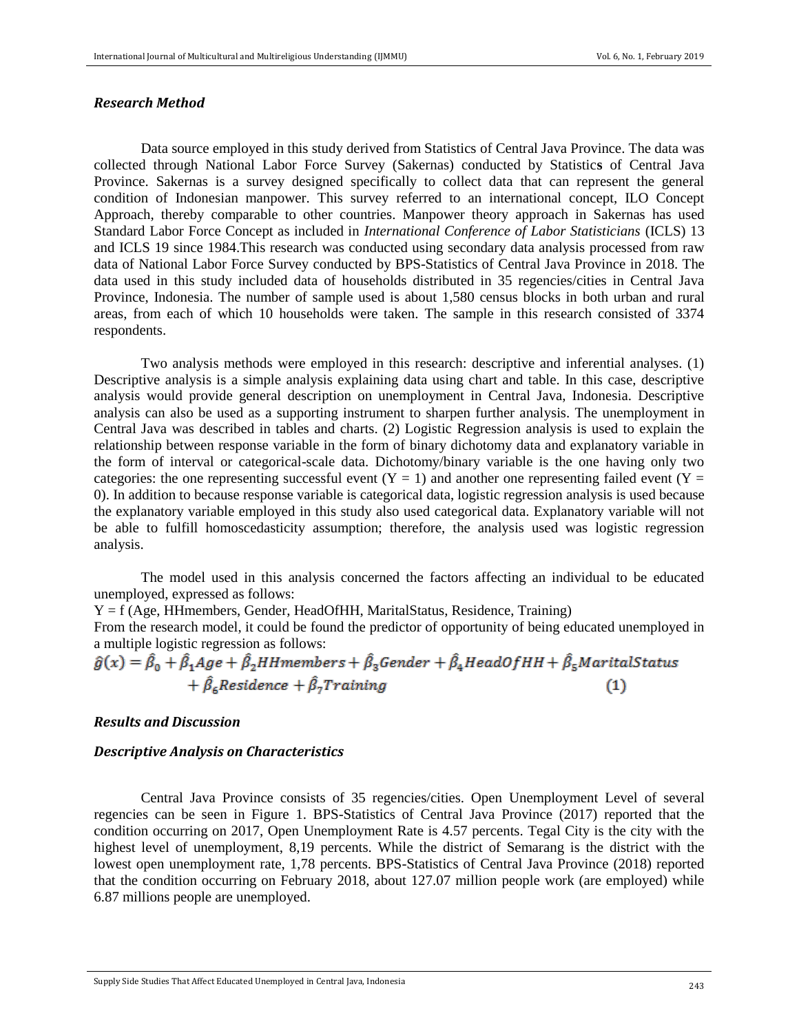#### *Research Method*

Data source employed in this study derived from Statistics of Central Java Province. The data was collected through National Labor Force Survey (Sakernas) conducted by Statistic**s** of Central Java Province. Sakernas is a survey designed specifically to collect data that can represent the general condition of Indonesian manpower. This survey referred to an international concept, ILO Concept Approach, thereby comparable to other countries. Manpower theory approach in Sakernas has used Standard Labor Force Concept as included in *International Conference of Labor Statisticians* (ICLS) 13 and ICLS 19 since 1984.This research was conducted using secondary data analysis processed from raw data of National Labor Force Survey conducted by BPS-Statistics of Central Java Province in 2018. The data used in this study included data of households distributed in 35 regencies/cities in Central Java Province, Indonesia. The number of sample used is about 1,580 census blocks in both urban and rural areas, from each of which 10 households were taken. The sample in this research consisted of 3374 respondents.

Two analysis methods were employed in this research: descriptive and inferential analyses. (1) Descriptive analysis is a simple analysis explaining data using chart and table. In this case, descriptive analysis would provide general description on unemployment in Central Java, Indonesia. Descriptive analysis can also be used as a supporting instrument to sharpen further analysis. The unemployment in Central Java was described in tables and charts. (2) Logistic Regression analysis is used to explain the relationship between response variable in the form of binary dichotomy data and explanatory variable in the form of interval or categorical-scale data. Dichotomy/binary variable is the one having only two categories: the one representing successful event  $(Y = 1)$  and another one representing failed event  $(Y = 1)$ 0). In addition to because response variable is categorical data, logistic regression analysis is used because the explanatory variable employed in this study also used categorical data. Explanatory variable will not be able to fulfill homoscedasticity assumption; therefore, the analysis used was logistic regression analysis.

The model used in this analysis concerned the factors affecting an individual to be educated unemployed, expressed as follows:

 $Y = f$  (Age, HHmembers, Gender, HeadOfHH, MaritalStatus, Residence, Training)

From the research model, it could be found the predictor of opportunity of being educated unemployed in a multiple logistic regression as follows:

 $\hat{g}(x) = \hat{\beta}_0 + \hat{\beta}_1 Age + \hat{\beta}_2 HH members + \hat{\beta}_3 Gender + \hat{\beta}_4 HeadOfHH + \hat{\beta}_5 Marital Status$ +  $\hat{\beta}_{\epsilon}$ Residence +  $\hat{\beta}_{7}$ Training  $(1)$ 

## *Results and Discussion*

# *Descriptive Analysis on Characteristics*

Central Java Province consists of 35 regencies/cities. Open Unemployment Level of several regencies can be seen in Figure 1. BPS-Statistics of Central Java Province (2017) reported that the condition occurring on 2017, Open Unemployment Rate is 4.57 percents. Tegal City is the city with the highest level of unemployment, 8,19 percents. While the district of Semarang is the district with the lowest open unemployment rate, 1,78 percents. BPS-Statistics of Central Java Province (2018) reported that the condition occurring on February 2018, about 127.07 million people work (are employed) while 6.87 millions people are unemployed.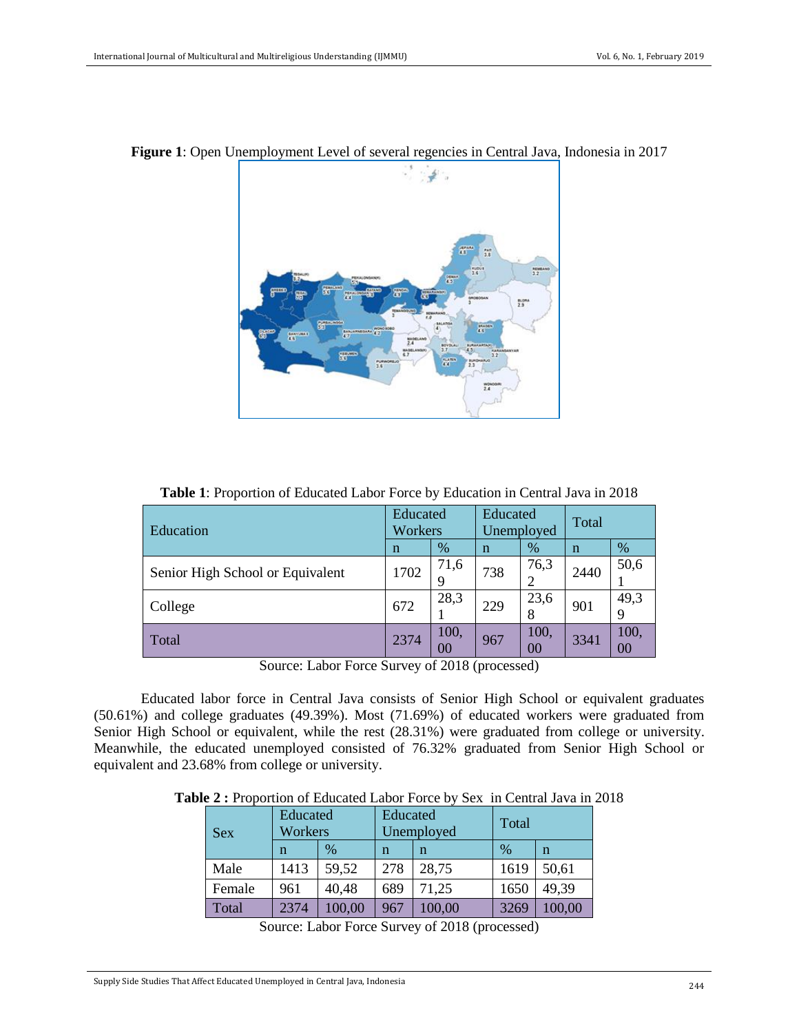

#### **Figure 1**: Open Unemployment Level of several regencies in Central Java, Indonesia in 2017

| Education                        | Educated<br>Workers |      | Educated<br>Unemployed |      | Total |      |
|----------------------------------|---------------------|------|------------------------|------|-------|------|
|                                  | n                   | $\%$ |                        | $\%$ | n     | $\%$ |
| Senior High School or Equivalent | 1702                | 71,6 | 738                    | 76,3 | 2440  | 50,6 |

College  $\begin{array}{|c|c|c|c|c|}\n\hline\n672 & 28.3 \\
\hline\n\end{array}$ 

Total  $2374 \begin{array}{|c|c|c|c|c|} \hline 100, & & & \end{array}$ 

**Table 1**: Proportion of Educated Labor Force by Education in Central Java in 2018

Source: Labor Force Survey of 2018 (processed)

1

 $\frac{1}{229}$  23,6 8

 $\begin{array}{c|c} 100, & 967 & 100, \\ 00 & 967 & 00 \end{array}$ 

901  $\begin{array}{|c|c|} 49,3 \end{array}$ 9

 $3341 \begin{array}{|c} 100, \\ 20 \end{array}$ 00

Educated labor force in Central Java consists of Senior High School or equivalent graduates (50.61%) and college graduates (49.39%). Most (71.69%) of educated workers were graduated from Senior High School or equivalent, while the rest (28.31%) were graduated from college or university. Meanwhile, the educated unemployed consisted of 76.32% graduated from Senior High School or equivalent and 23.68% from college or university.

**Table 2 :** Proportion of Educated Labor Force by Sex in Central Java in 2018

| <b>Sex</b> | Educated<br>Workers |               | Educated<br>Unemployed |        | Total |        |
|------------|---------------------|---------------|------------------------|--------|-------|--------|
|            | n                   | $\frac{0}{0}$ | n                      | n      | $\%$  | n      |
| Male       | 1413                | 59,52         | 278                    | 28,75  | 1619  | 50,61  |
| Female     | 961                 | 40,48         | 689                    | 71,25  | 1650  | 49,39  |
| Total      | 2374                | 100,00        | 967                    | 100,00 | 3269  | 100,00 |

Source: Labor Force Survey of 2018 (processed)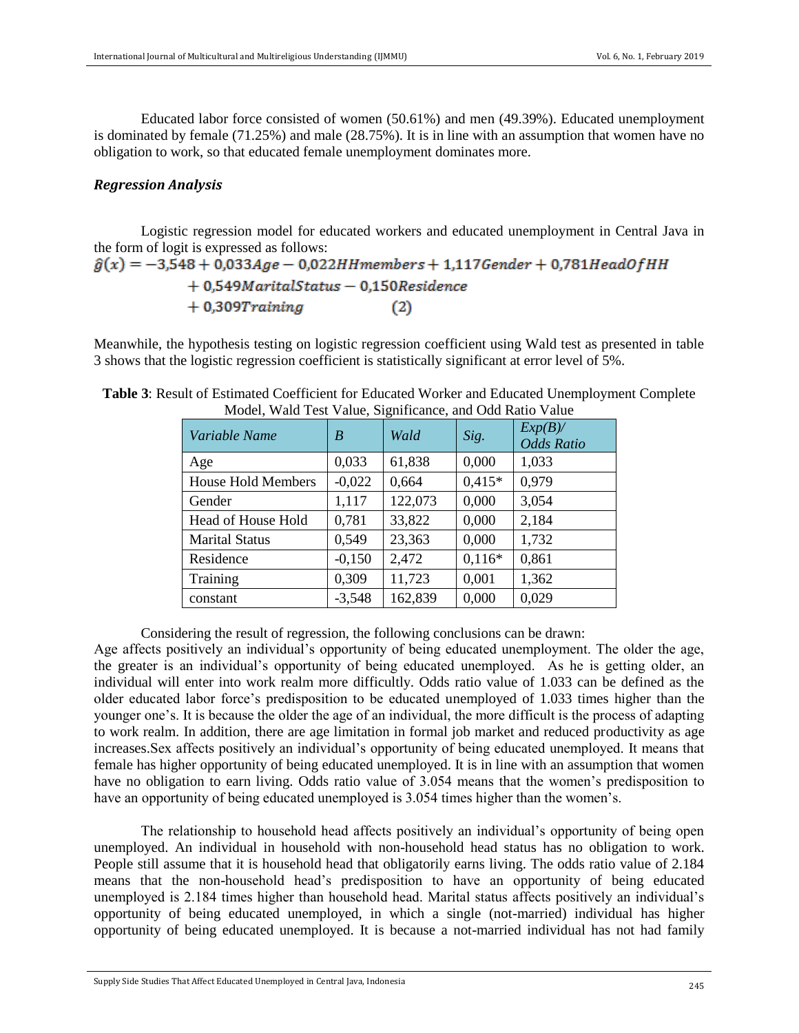Educated labor force consisted of women (50.61%) and men (49.39%). Educated unemployment is dominated by female (71.25%) and male (28.75%). It is in line with an assumption that women have no obligation to work, so that educated female unemployment dominates more.

## *Regression Analysis*

Logistic regression model for educated workers and educated unemployment in Central Java in the form of logit is expressed as follows:

 $\hat{g}(x) = -3.548 + 0.033Age - 0.022HHmembers + 1.117Gender + 0.781HeadOfHH$  $+0,549$ MaritalStatus - 0,150Residence  $+$  0,309 $Training$  $(2)$ 

Meanwhile, the hypothesis testing on logistic regression coefficient using Wald test as presented in table 3 shows that the logistic regression coefficient is statistically significant at error level of 5%.

| Variable Name             | B        | Wald    | Sig.     | $Exp(B)$ /<br><b>Odds Ratio</b> |
|---------------------------|----------|---------|----------|---------------------------------|
| Age                       | 0,033    | 61,838  | 0,000    | 1,033                           |
| <b>House Hold Members</b> | $-0,022$ | 0,664   | $0,415*$ | 0,979                           |
| Gender                    | 1,117    | 122,073 | 0,000    | 3,054                           |
| Head of House Hold        | 0,781    | 33,822  | 0,000    | 2,184                           |
| <b>Marital Status</b>     | 0,549    | 23,363  | 0,000    | 1,732                           |
| Residence                 | $-0,150$ | 2,472   | $0,116*$ | 0,861                           |
| Training                  | 0,309    | 11,723  | 0,001    | 1,362                           |
| constant                  | $-3,548$ | 162,839 | 0,000    | 0,029                           |

| Table 3: Result of Estimated Coefficient for Educated Worker and Educated Unemployment Complete |
|-------------------------------------------------------------------------------------------------|
| Model, Wald Test Value, Significance, and Odd Ratio Value                                       |

Considering the result of regression, the following conclusions can be drawn:

Age affects positively an individual's opportunity of being educated unemployment. The older the age, the greater is an individual's opportunity of being educated unemployed. As he is getting older, an individual will enter into work realm more difficultly. Odds ratio value of 1.033 can be defined as the older educated labor force's predisposition to be educated unemployed of 1.033 times higher than the younger one's. It is because the older the age of an individual, the more difficult is the process of adapting to work realm. In addition, there are age limitation in formal job market and reduced productivity as age increases.Sex affects positively an individual's opportunity of being educated unemployed. It means that female has higher opportunity of being educated unemployed. It is in line with an assumption that women have no obligation to earn living. Odds ratio value of 3.054 means that the women's predisposition to have an opportunity of being educated unemployed is 3.054 times higher than the women's.

The relationship to household head affects positively an individual's opportunity of being open unemployed. An individual in household with non-household head status has no obligation to work. People still assume that it is household head that obligatorily earns living. The odds ratio value of 2.184 means that the non-household head's predisposition to have an opportunity of being educated unemployed is 2.184 times higher than household head. Marital status affects positively an individual's opportunity of being educated unemployed, in which a single (not-married) individual has higher opportunity of being educated unemployed. It is because a not-married individual has not had family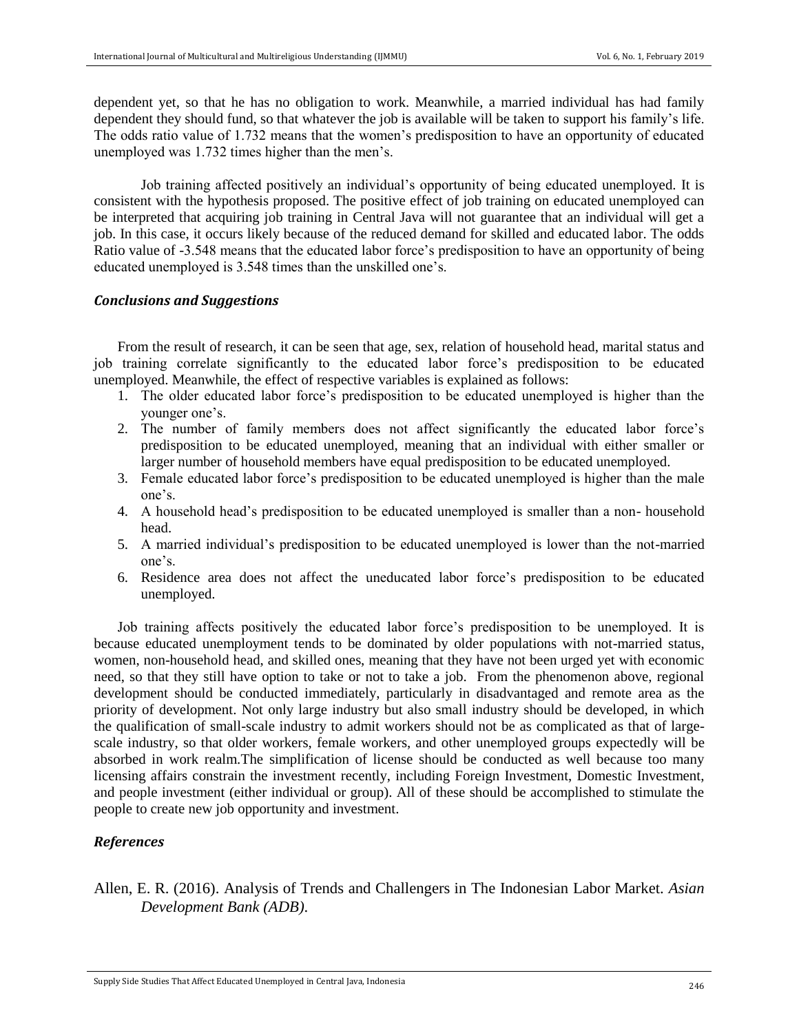dependent yet, so that he has no obligation to work. Meanwhile, a married individual has had family dependent they should fund, so that whatever the job is available will be taken to support his family's life. The odds ratio value of 1.732 means that the women's predisposition to have an opportunity of educated unemployed was 1.732 times higher than the men's.

Job training affected positively an individual's opportunity of being educated unemployed. It is consistent with the hypothesis proposed. The positive effect of job training on educated unemployed can be interpreted that acquiring job training in Central Java will not guarantee that an individual will get a job. In this case, it occurs likely because of the reduced demand for skilled and educated labor. The odds Ratio value of -3.548 means that the educated labor force's predisposition to have an opportunity of being educated unemployed is 3.548 times than the unskilled one's.

## *Conclusions and Suggestions*

From the result of research, it can be seen that age, sex, relation of household head, marital status and job training correlate significantly to the educated labor force's predisposition to be educated unemployed. Meanwhile, the effect of respective variables is explained as follows:

- 1. The older educated labor force's predisposition to be educated unemployed is higher than the younger one's.
- 2. The number of family members does not affect significantly the educated labor force's predisposition to be educated unemployed, meaning that an individual with either smaller or larger number of household members have equal predisposition to be educated unemployed.
- 3. Female educated labor force's predisposition to be educated unemployed is higher than the male one's.
- 4. A household head's predisposition to be educated unemployed is smaller than a non- household head.
- 5. A married individual's predisposition to be educated unemployed is lower than the not-married one's.
- 6. Residence area does not affect the uneducated labor force's predisposition to be educated unemployed.

Job training affects positively the educated labor force's predisposition to be unemployed. It is because educated unemployment tends to be dominated by older populations with not-married status, women, non-household head, and skilled ones, meaning that they have not been urged yet with economic need, so that they still have option to take or not to take a job. From the phenomenon above, regional development should be conducted immediately, particularly in disadvantaged and remote area as the priority of development. Not only large industry but also small industry should be developed, in which the qualification of small-scale industry to admit workers should not be as complicated as that of largescale industry, so that older workers, female workers, and other unemployed groups expectedly will be absorbed in work realm.The simplification of license should be conducted as well because too many licensing affairs constrain the investment recently, including Foreign Investment, Domestic Investment, and people investment (either individual or group). All of these should be accomplished to stimulate the people to create new job opportunity and investment.

# *References*

Allen, E. R. (2016). Analysis of Trends and Challengers in The Indonesian Labor Market. *Asian Development Bank (ADB)*.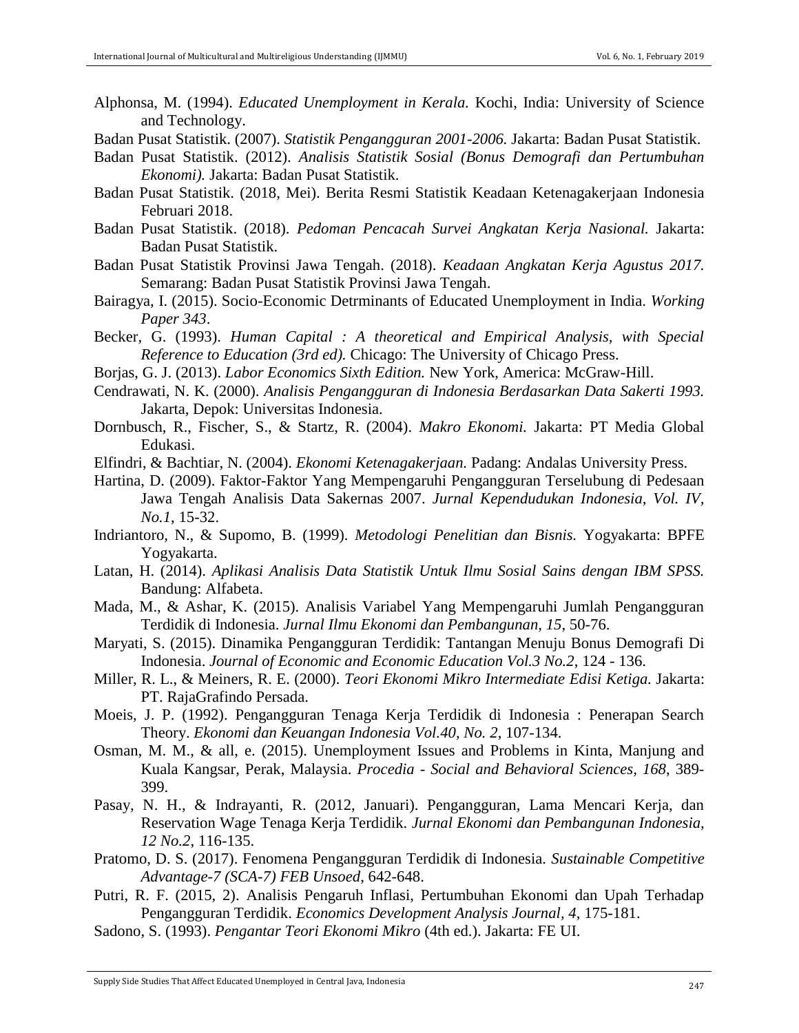- Alphonsa, M. (1994). *Educated Unemployment in Kerala.* Kochi, India: University of Science and Technology.
- Badan Pusat Statistik. (2007). *Statistik Pengangguran 2001-2006.* Jakarta: Badan Pusat Statistik.
- Badan Pusat Statistik. (2012). *Analisis Statistik Sosial (Bonus Demografi dan Pertumbuhan Ekonomi).* Jakarta: Badan Pusat Statistik.
- Badan Pusat Statistik. (2018, Mei). Berita Resmi Statistik Keadaan Ketenagakerjaan Indonesia Februari 2018.
- Badan Pusat Statistik. (2018). *Pedoman Pencacah Survei Angkatan Kerja Nasional.* Jakarta: Badan Pusat Statistik.
- Badan Pusat Statistik Provinsi Jawa Tengah. (2018). *Keadaan Angkatan Kerja Agustus 2017.* Semarang: Badan Pusat Statistik Provinsi Jawa Tengah.
- Bairagya, I. (2015). Socio-Economic Detrminants of Educated Unemployment in India. *Working Paper 343*.
- Becker, G. (1993). *Human Capital : A theoretical and Empirical Analysis, with Special Reference to Education (3rd ed).* Chicago: The University of Chicago Press.
- Borjas, G. J. (2013). *Labor Economics Sixth Edition.* New York, America: McGraw-Hill.
- Cendrawati, N. K. (2000). *Analisis Pengangguran di Indonesia Berdasarkan Data Sakerti 1993.* Jakarta, Depok: Universitas Indonesia.
- Dornbusch, R., Fischer, S., & Startz, R. (2004). *Makro Ekonomi.* Jakarta: PT Media Global Edukasi.
- Elfindri, & Bachtiar, N. (2004). *Ekonomi Ketenagakerjaan.* Padang: Andalas University Press.
- Hartina, D. (2009). Faktor-Faktor Yang Mempengaruhi Pengangguran Terselubung di Pedesaan Jawa Tengah Analisis Data Sakernas 2007. *Jurnal Kependudukan Indonesia, Vol. IV, No.1*, 15-32.
- Indriantoro, N., & Supomo, B. (1999). *Metodologi Penelitian dan Bisnis.* Yogyakarta: BPFE Yogyakarta.
- Latan, H. (2014). *Aplikasi Analisis Data Statistik Untuk Ilmu Sosial Sains dengan IBM SPSS.* Bandung: Alfabeta.
- Mada, M., & Ashar, K. (2015). Analisis Variabel Yang Mempengaruhi Jumlah Pengangguran Terdidik di Indonesia. *Jurnal Ilmu Ekonomi dan Pembangunan, 15*, 50-76.
- Maryati, S. (2015). Dinamika Pengangguran Terdidik: Tantangan Menuju Bonus Demografi Di Indonesia. *Journal of Economic and Economic Education Vol.3 No.2*, 124 - 136.
- Miller, R. L., & Meiners, R. E. (2000). *Teori Ekonomi Mikro Intermediate Edisi Ketiga.* Jakarta: PT. RajaGrafindo Persada.
- Moeis, J. P. (1992). Pengangguran Tenaga Kerja Terdidik di Indonesia : Penerapan Search Theory. *Ekonomi dan Keuangan Indonesia Vol.40, No. 2*, 107-134.
- Osman, M. M., & all, e. (2015). Unemployment Issues and Problems in Kinta, Manjung and Kuala Kangsar, Perak, Malaysia. *Procedia - Social and Behavioral Sciences, 168*, 389- 399.
- Pasay, N. H., & Indrayanti, R. (2012, Januari). Pengangguran, Lama Mencari Kerja, dan Reservation Wage Tenaga Kerja Terdidik. *Jurnal Ekonomi dan Pembangunan Indonesia, 12 No.2*, 116-135.
- Pratomo, D. S. (2017). Fenomena Pengangguran Terdidik di Indonesia. *Sustainable Competitive Advantage-7 (SCA-7) FEB Unsoed*, 642-648.
- Putri, R. F. (2015, 2). Analisis Pengaruh Inflasi, Pertumbuhan Ekonomi dan Upah Terhadap Pengangguran Terdidik. *Economics Development Analysis Journal, 4*, 175-181.
- Sadono, S. (1993). *Pengantar Teori Ekonomi Mikro* (4th ed.). Jakarta: FE UI.